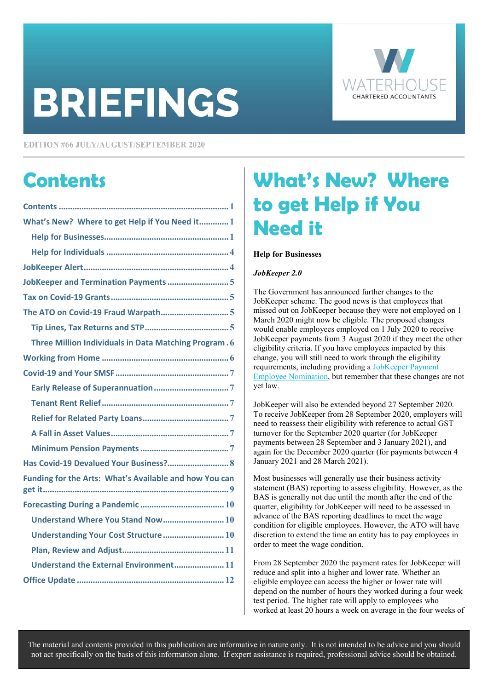# **BRIEFINGS**



**EDITION #66 JULY/AUGUST/SEPTEMBER 2020** 

### **Contents**

| What's New? Where to get Help if You Need it 1         |
|--------------------------------------------------------|
|                                                        |
|                                                        |
|                                                        |
|                                                        |
|                                                        |
|                                                        |
|                                                        |
| Three Million Individuals in Data Matching Program. 6  |
|                                                        |
|                                                        |
|                                                        |
|                                                        |
|                                                        |
|                                                        |
|                                                        |
|                                                        |
| Has Covid-19 Devalued Your Business? 8                 |
| Funding for the Arts: What's Available and how You can |
|                                                        |
| Understand Where You Stand Now 10                      |
| Understanding Your Cost Structure 10                   |
|                                                        |
| Understand the External Environment 11                 |

## **What's New? Where to get Help if You Need it**

#### **Help for Businesses**

#### *JobKeeper 2.0*

The Government has announced further changes to the JobKeeper scheme. The good news is that employees that missed out on JobKeeper because they were not employed on 1 March 2020 might now be eligible. The proposed changes would enable employees employed on 1 July 2020 to receive JobKeeper payments from 3 August 2020 if they meet the other eligibility criteria. If you have employees impacted by this change, you will still need to work through the eligibility requirements, including providing a JobKeeper Payment [Employee Nomination,](https://www.ato.gov.au/Forms/JobKeeper-payment---employee-nomination-notice/) but remember that these changes are not yet law.

JobKeeper will also be extended beyond 27 September 2020. To receive JobKeeper from 28 September 2020, employers will need to reassess their eligibility with reference to actual GST turnover for the September 2020 quarter (for JobKeeper payments between 28 September and 3 January 2021), and again for the December 2020 quarter (for payments between 4 January 2021 and 28 March 2021).

Most businesses will generally use their business activity statement (BAS) reporting to assess eligibility. However, as the BAS is generally not due until the month after the end of the quarter, eligibility for JobKeeper will need to be assessed in advance of the BAS reporting deadlines to meet the wage condition for eligible employees. However, the ATO will have discretion to extend the time an entity has to pay employees in order to meet the wage condition.

From 28 September 2020 the payment rates for JobKeeper will reduce and split into a higher and lower rate. Whether an eligible employee can access the higher or lower rate will depend on the number of hours they worked during a four week test period. The higher rate will apply to employees who worked at least 20 hours a week on average in the four weeks of

The material and contents provided in this publication are informative in nature only. It is not intended to be advice and you should not act specifically on the basis of this information alone. If expert assistance is required, professional advice should be obtained.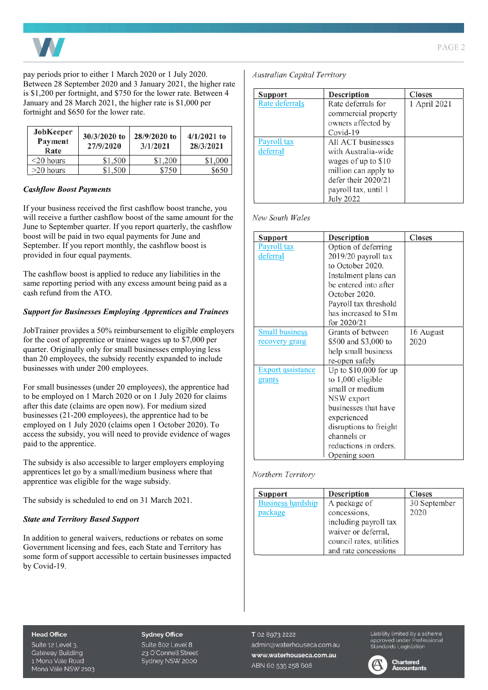

pay periods prior to either 1 March 2020 or 1 July 2020. Between 28 September 2020 and 3 January 2021, the higher rate is \$1,200 per fortnight, and \$750 for the lower rate. Between 4 January and 28 March 2021, the higher rate is \$1,000 per fortnight and \$650 for the lower rate.

| JobKeeper<br>Payment<br>Rate | 30/3/2020 to<br>27/9/2020 | $28/9/2020$ to<br>3/1/2021 | $4/1/2021$ to<br>28/3/2021 |
|------------------------------|---------------------------|----------------------------|----------------------------|
| $<$ 20 hours                 | \$1,500                   | \$1,200                    | \$1,000                    |
| $>20$ hours                  | \$1,500                   | \$750                      | \$650                      |

#### *Cashflow Boost Payments*

If your business received the first cashflow boost tranche, you will receive a further cashflow boost of the same amount for the June to September quarter. If you report quarterly, the cashflow boost will be paid in two equal payments for June and September. If you report monthly, the cashflow boost is provided in four equal payments.

The cashflow boost is applied to reduce any liabilities in the same reporting period with any excess amount being paid as a cash refund from the ATO.

#### *Support for Businesses Employing Apprentices and Trainees*

JobTrainer provides a 50% reimbursement to eligible employers for the cost of apprentice or trainee wages up to \$7,000 per quarter. Originally only for small businesses employing less than 20 employees, the subsidy recently expanded to include businesses with under 200 employees.

For small businesses (under 20 employees), the apprentice had to be employed on 1 March 2020 or on 1 July 2020 for claims after this date (claims are open now). For medium sized businesses (21-200 employees), the apprentice had to be employed on 1 July 2020 (claims open 1 October 2020). To access the subsidy, you will need to provide evidence of wages paid to the apprentice.

The subsidy is also accessible to larger employers employing apprentices let go by a small/medium business where that apprentice was eligible for the wage subsidy.

The subsidy is scheduled to end on 31 March 2021.

#### *State and Territory Based Support*

In addition to general waivers, reductions or rebates on some Government licensing and fees, each State and Territory has some form of support accessible to certain businesses impacted by Covid-19.

**Australian Capital Territory** 

| Support            | <b>Description</b>   | <b>Closes</b> |
|--------------------|----------------------|---------------|
| Rate deferrals     | Rate deferrals for   | 1 April 2021  |
|                    | commercial property  |               |
|                    | owners affected by   |               |
|                    | Covid-19             |               |
| <b>Payroll tax</b> | All ACT businesses   |               |
| deferral           | with Australia-wide  |               |
|                    | wages of up to \$10  |               |
|                    | million can apply to |               |
|                    | defer their 2020/21  |               |
|                    | payroll tax, until 1 |               |
|                    | July 2022            |               |

#### New South Wales

| <b>Support</b>           | Description            | <b>Closes</b> |
|--------------------------|------------------------|---------------|
| Payroll tax              | Option of deferring    |               |
| deferral                 | 2019/20 payroll tax    |               |
|                          | to October 2020.       |               |
|                          | Instalment plans can   |               |
|                          | be entered into after  |               |
|                          | October 2020.          |               |
|                          | Payroll tax threshold  |               |
|                          | has increased to \$1m  |               |
|                          | for 2020/21            |               |
| <b>Small business</b>    | Grants of between      | 16 August     |
| recovery grant           | \$500 and \$3,000 to   | 2020          |
|                          | help small business    |               |
|                          | re-open safely         |               |
| <b>Export assistance</b> | Up to $$10,000$ for up |               |
| grants                   | to $1,000$ eligible    |               |
|                          | small or medium        |               |
|                          | NSW export             |               |
|                          | businesses that have   |               |
|                          | experienced            |               |
|                          | disruptions to freight |               |
|                          | channels or            |               |
|                          | reductions in orders.  |               |
|                          | Opening soon           |               |

#### Northern Territory

| <b>Support</b>           | <b>Description</b>       | <b>Closes</b> |
|--------------------------|--------------------------|---------------|
| <b>Business hardship</b> | A package of             | 30 September  |
| package                  | concessions,             | 2020          |
|                          | including payroll tax    |               |
|                          | waiver or deferral,      |               |
|                          | council rates, utilities |               |
|                          | and rate concessions     |               |

#### **Head Office**

Suite 12 Level 3. **Gateway Building** 1 Mona Vale Road Mona Vale NSW 2103

#### **Sydney Office**

Suite 802 Level 8 23 O'Connell Street Sydney NSW 2000 T 02 8973 2222 admin@waterhouseca.com.au www.waterhouseca.com.au ABN 60 535 258 608

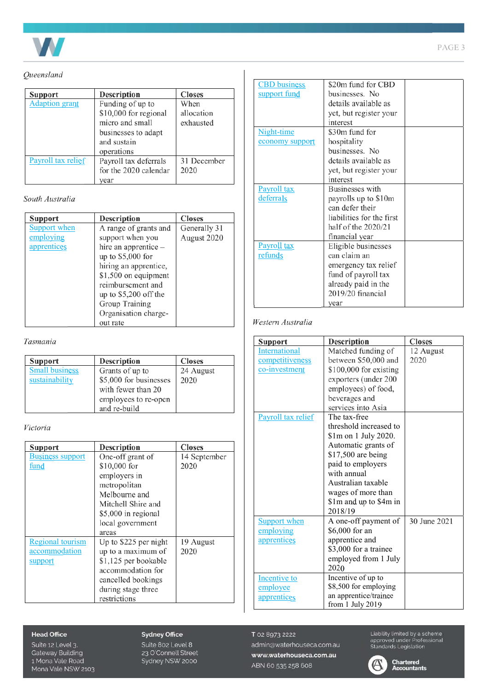

#### Queensland

| Support               | <b>Description</b>    | <b>Closes</b> |
|-----------------------|-----------------------|---------------|
| <b>Adaption grant</b> | Funding of up to      | When          |
|                       | \$10,000 for regional | allocation    |
|                       | micro and small       | exhausted     |
|                       | businesses to adapt   |               |
|                       | and sustain           |               |
|                       | operations            |               |
| Payroll tax relief    | Payroll tax deferrals | 31 December   |
|                       | for the 2020 calendar | 2020          |
|                       | vear                  |               |

South Australia

| Support      | <b>Description</b>     | <b>Closes</b> |
|--------------|------------------------|---------------|
| Support when | A range of grants and  | Generally 31  |
| employing    | support when you       | August 2020   |
| apprentices  | hire an apprentice -   |               |
|              | up to \$5,000 for      |               |
|              | hiring an apprentice,  |               |
|              | \$1,500 on equipment   |               |
|              | reimbursement and      |               |
|              | up to $$5,200$ off the |               |
|              | Group Training         |               |
|              | Organisation charge-   |               |
|              | out rate               |               |

#### Tasmania

| Support               | <b>Description</b>     | <b>Closes</b> |
|-----------------------|------------------------|---------------|
| <b>Small business</b> | Grants of up to        | 24 August     |
| sustainability        | \$5,000 for businesses | 2020          |
|                       | with fewer than 20     |               |
|                       | employees to re-open   |               |
|                       | and re-build           |               |

#### Victoria

| Support                 | <b>Description</b>    | <b>Closes</b> |
|-------------------------|-----------------------|---------------|
| <b>Business support</b> | One-off grant of      | 14 September  |
| fund                    | \$10,000 for          | 2020          |
|                         | employers in          |               |
|                         | metropolitan          |               |
|                         | Melbourne and         |               |
|                         | Mitchell Shire and    |               |
|                         | \$5,000 in regional   |               |
|                         | local government      |               |
|                         | areas                 |               |
| <b>Regional tourism</b> | Up to \$225 per night | 19 August     |
| accommodation           | up to a maximum of    | 2020          |
| support                 | \$1,125 per bookable  |               |
|                         | accommodation for     |               |
|                         | cancelled bookings    |               |
|                         | during stage three    |               |
|                         | restrictions          |               |

#### **Head Office**

Suite 12 Level 3. Gateway Building<br>1 Mona Vale Road Mona Vale NSW 2103

#### **Sydney Office**

Suite 802 Level 8<br>23 O'Connell Street<br>Sydney NSW 2000

| <b>CBD</b> business | \$20m fund for CBD        |  |
|---------------------|---------------------------|--|
| support fund        | businesses. No            |  |
|                     | details available as      |  |
|                     | yet, but register your    |  |
|                     | interest                  |  |
| Night-time          | \$30m fund for            |  |
| economy support     | hospitality               |  |
|                     | businesses. No            |  |
|                     | details available as      |  |
|                     | yet, but register your    |  |
|                     | interest                  |  |
| Payroll tax         | <b>Businesses</b> with    |  |
| deferrals           | payrolls up to \$10m      |  |
|                     | can defer their           |  |
|                     | liabilities for the first |  |
|                     | half of the $2020/21$     |  |
|                     | financial year            |  |
| Payroll tax         | Eligible businesses       |  |
| refunds             | can claim an              |  |
|                     | emergency tax relief      |  |
|                     | fund of payroll tax       |  |
|                     | already paid in the       |  |
|                     | 2019/20 financial         |  |
|                     | year                      |  |

#### Western Australia

| Support             | <b>Description</b>     | <b>Closes</b> |
|---------------------|------------------------|---------------|
| International       | Matched funding of     | 12 August     |
| competitiveness     | between \$50,000 and   | 2020          |
| co-investment       | \$100,000 for existing |               |
|                     | exporters (under 200   |               |
|                     | employees) of food,    |               |
|                     | beverages and          |               |
|                     | services into Asia     |               |
| Payroll tax relief  | The tax-free           |               |
|                     | threshold increased to |               |
|                     | \$1m on 1 July 2020.   |               |
|                     | Automatic grants of    |               |
|                     | \$17,500 are being     |               |
|                     | paid to employers      |               |
|                     | with annual            |               |
|                     | Australian taxable     |               |
|                     | wages of more than     |               |
|                     | \$1m and up to \$4m in |               |
|                     | 2018/19                |               |
| <b>Support when</b> | A one-off payment of   | 30 June 2021  |
| employing           | \$6,000 for an         |               |
| apprentices         | apprentice and         |               |
|                     | \$3,000 for a trainee  |               |
|                     | employed from 1 July   |               |
|                     | 2020                   |               |
| Incentive to        | Incentive of up to     |               |
| employee            | \$8,500 for employing  |               |
| apprentices         | an apprentice/trainee  |               |
|                     | from 1 July 2019       |               |

T 02 8973 2222 admin@waterhouseca.com.au www.waterhouseca.com.au ABN 60 535 258 608



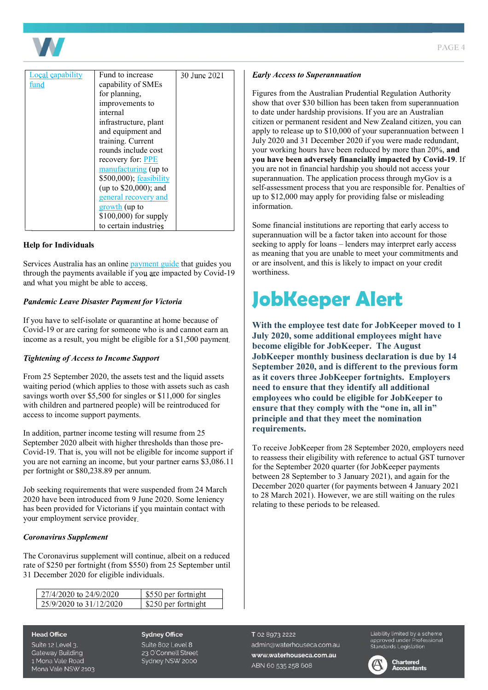

| <b>Local capability</b> | Fund to increase        | 30 June 2021 |
|-------------------------|-------------------------|--------------|
| fund                    | capability of SMEs      |              |
|                         | for planning,           |              |
|                         | improvements to         |              |
|                         | internal                |              |
|                         | infrastructure, plant   |              |
|                         | and equipment and       |              |
|                         | training. Current       |              |
|                         | rounds include cost     |              |
|                         | recovery for: PPE       |              |
|                         | manufacturing (up to    |              |
|                         | \$500,000); feasibility |              |
|                         | (up to $$20,000$ ); and |              |
|                         | general recovery and    |              |
|                         | growth (up to           |              |
|                         | \$100,000) for supply   |              |
|                         | to certain industries   |              |

#### **Help for Individuals**

Services Australia has an onlin[e payment guide t](https://www.servicesaustralia.gov.au/individuals/subjects/payments-and-services-during-coronavirus-covid-19/if-you-need-payment#guide)hat guides you through the payments available if you are impacted by Covid-19 and what you might be able to access.

#### *Pandemic Leave Disaster Payment for Victoria*

If you have to self-isolate or quarantine at home because of Covid-19 or are caring for someone who is and cannot earn an income as a result, you might be eligible for a \$1,500 payment.

#### *Tightening of Access to Income Support*

From 25 September 2020, the assets test and the liquid assets waiting period (which applies to those with assets such as cash savings worth over \$5,500 for singles or \$11,000 for singles with children and partnered people) will be reintroduced for access to income support payments.

In addition, partner income testing will resume from 25 September 2020 albeit with higher thresholds than those pre-Covid-19. That is, you will not be eligible for income support if you are not earning an income, but your partner earns \$3,086.11 per fortnight or \$80,238.89 per annum.

Job seeking requirements that were suspended from 24 March 2020 have been introduced from 9 June 2020. Some leniency has been provided for Victorians if you maintain contact with your employment service provider.

#### *Coronavirus Supplement*

The Coronavirus supplement will continue, albeit on a reduced rate of \$250 per fortnight (from \$550) from 25 September until 31 December 2020 for eligible individuals.

| 27/4/2020 to 24/9/2020  | \$550 per fortnight |
|-------------------------|---------------------|
| 25/9/2020 to 31/12/2020 | \$250 per fortnight |

#### *Early Access to Superannuation*

Figures from the Australian Prudential Regulation Authority show that over \$30 billion has been taken from superannuation to date under hardship provisions. If you are an Australian citizen or permanent resident and New Zealand citizen, you can apply to release up to \$10,000 of your superannuation between 1 July 2020 and 31 December 2020 if you were made redundant, your working hours have been reduced by more than 20%, **and you have been adversely financially impacted by Covid-19**. If you are not in financial hardship you should not access your superannuation. The application process through myGov is a self-assessment process that you are responsible for. Penalties of up to \$12,000 may apply for providing false or misleading information.

Some financial institutions are reporting that early access to superannuation will be a factor taken into account for those seeking to apply for loans – lenders may interpret early access as meaning that you are unable to meet your commitments and or are insolvent, and this is likely to impact on your credit worthiness.

### **JobKeeper Alert**

**With the employee test date for JobKeeper moved to 1 July 2020, some additional employees might have become eligible for JobKeeper. The August JobKeeper monthly business declaration is due by 14 September 2020, and is different to the previous form as it covers three JobKeeper fortnights. Employers need to ensure that they identify all additional employees who could be eligible for JobKeeper to ensure that they comply with the "one in, all in" principle and that they meet the nomination requirements.** 

To receive JobKeeper from 28 September 2020, employers need to reassess their eligibility with reference to actual GST turnover for the September 2020 quarter (for JobKeeper payments between 28 September to 3 January 2021), and again for the December 2020 quarter (for payments between 4 January 2021 to 28 March 2021). However, we are still waiting on the rules relating to these periods to be released.

 $PAGFA$ 

#### Suite 12 Level 3. **Gateway Building** 1 Mona Vale Road Mona Vale NSW 2103

**Head Office** 

#### **Sydney Office**

Suite 802 Level 8 23 O'Connell Street Sydney NSW 2000

T 02 8973 2222 admin@waterhouseca.com.au www.waterhouseca.com.au ABN 60 535 258 608

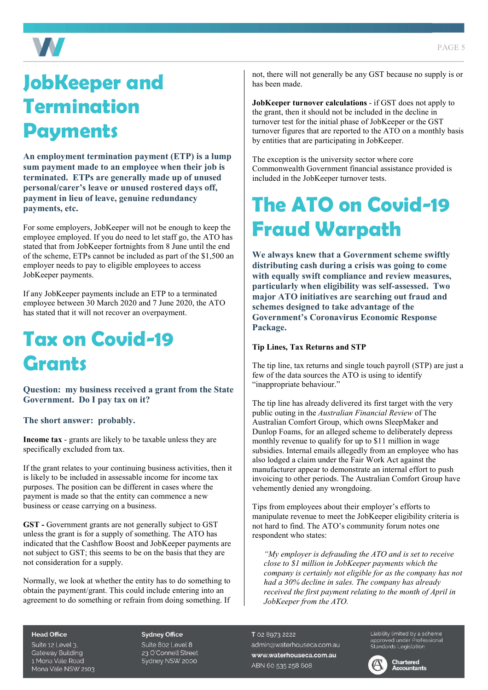

## **JobKeeper and Termination Payments**

**An employment termination payment (ETP) is a lump sum payment made to an employee when their job is terminated. ETPs are generally made up of unused personal/carer's leave or unused rostered days off, payment in lieu of leave, genuine redundancy payments, etc.** 

For some employers, JobKeeper will not be enough to keep the employee employed. If you do need to let staff go, the ATO has stated that from JobKeeper fortnights from 8 June until the end of the scheme, ETPs cannot be included as part of the \$1,500 an employer needs to pay to eligible employees to access JobKeeper payments.

If any JobKeeper payments include an ETP to a terminated employee between 30 March 2020 and 7 June 2020, the ATO has stated that it will not recover an overpayment.

### **Tax on Covid-19 Grants**

**Question: my business received a grant from the State Government. Do I pay tax on it?** 

#### **The short answer: probably.**

**Income tax** - grants are likely to be taxable unless they are specifically excluded from tax.

If the grant relates to your continuing business activities, then it is likely to be included in assessable income for income tax purposes. The position can be different in cases where the payment is made so that the entity can commence a new business or cease carrying on a business.

**GST -** Government grants are not generally subject to GST unless the grant is for a supply of something. The ATO has indicated that the Cashflow Boost and JobKeeper payments are not subject to GST; this seems to be on the basis that they are not consideration for a supply.

Normally, we look at whether the entity has to do something to obtain the payment/grant. This could include entering into an agreement to do something or refrain from doing something. If

not, there will not generally be any GST because no supply is or has been made.

**JobKeeper turnover calculations** - if GST does not apply to the grant, then it should not be included in the decline in turnover test for the initial phase of JobKeeper or the GST turnover figures that are reported to the ATO on a monthly basis by entities that are participating in JobKeeper.

The exception is the university sector where core Commonwealth Government financial assistance provided is included in the JobKeeper turnover tests.

### **The ATO on Covid-19 Fraud Warpath**

**We always knew that a Government scheme swiftly distributing cash during a crisis was going to come with equally swift compliance and review measures, particularly when eligibility was self-assessed. Two major ATO initiatives are searching out fraud and schemes designed to take advantage of the Government's Coronavirus Economic Response Package.** 

#### **Tip Lines, Tax Returns and STP**

The tip line, tax returns and single touch payroll (STP) are just a few of the data sources the ATO is using to identify "inappropriate behaviour."

The tip line has already delivered its first target with the very public outing in the *Australian Financial Review* of The Australian Comfort Group, which owns SleepMaker and Dunlop Foams, for an alleged scheme to deliberately depress monthly revenue to qualify for up to \$11 million in wage subsidies. Internal emails allegedly from an employee who has also lodged a claim under the Fair Work Act against the manufacturer appear to demonstrate an internal effort to push invoicing to other periods. The Australian Comfort Group have vehemently denied any wrongdoing.

Tips from employees about their employer's efforts to manipulate revenue to meet the JobKeeper eligibility criteria is not hard to find. The ATO's community forum notes one respondent who states:

*"My employer is defrauding the ATO and is set to receive close to \$1 million in JobKeeper payments which the company is certainly not eligible for as the company has not had a 30% decline in sales. The company has already received the first payment relating to the month of April in JobKeeper from the ATO.* 

#### **Head Office**

Suite 12 Level 3. **Gateway Building** 1 Mona Vale Road Mona Vale NSW 2103

#### **Sydney Office**

Suite 802 Level 8 23 O'Connell Street Sydney NSW 2000

T 02 8973 2222 admin@waterhouseca.com.au www.waterhouseca.com.au ABN 60 535 258 608

Liability limited by a scheme approved under Professional<br>Standards Legislation



**Chartered Accountants**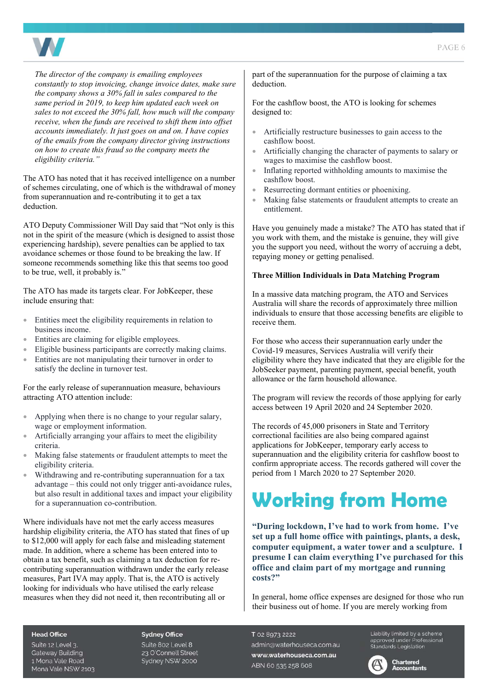

*The director of the company is emailing employees constantly to stop invoicing, change invoice dates, make sure the company shows a 30% fall in sales compared to the same period in 2019, to keep him updated each week on sales to not exceed the 30% fall, how much will the company receive, when the funds are received to shift them into offset accounts immediately. It just goes on and on. I have copies of the emails from the company director giving instructions on how to create this fraud so the company meets the eligibility criteria."* 

The ATO has noted that it has received intelligence on a number of schemes circulating, one of which is the withdrawal of money from superannuation and re-contributing it to get a tax deduction.

ATO Deputy Commissioner Will Day said that "Not only is this not in the spirit of the measure (which is designed to assist those experiencing hardship), severe penalties can be applied to tax avoidance schemes or those found to be breaking the law. If someone recommends something like this that seems too good to be true, well, it probably is."

The ATO has made its targets clear. For JobKeeper, these include ensuring that:

- Entities meet the eligibility requirements in relation to business income.
- Entities are claiming for eligible employees.
- Eligible business participants are correctly making claims.
- Entities are not manipulating their turnover in order to satisfy the decline in turnover test.

For the early release of superannuation measure, behaviours attracting ATO attention include:

- Applying when there is no change to your regular salary, wage or employment information.
- Artificially arranging your affairs to meet the eligibility criteria.
- Making false statements or fraudulent attempts to meet the eligibility criteria.
- Withdrawing and re-contributing superannuation for a tax advantage – this could not only trigger anti-avoidance rules, but also result in additional taxes and impact your eligibility for a superannuation co-contribution.

Where individuals have not met the early access measures hardship eligibility criteria, the ATO has stated that fines of up to \$12,000 will apply for each false and misleading statement made. In addition, where a scheme has been entered into to obtain a tax benefit, such as claiming a tax deduction for recontributing superannuation withdrawn under the early release measures, Part IVA may apply. That is, the ATO is actively looking for individuals who have utilised the early release measures when they did not need it, then recontributing all or

part of the superannuation for the purpose of claiming a tax deduction.

For the cashflow boost, the ATO is looking for schemes designed to:

- Artificially restructure businesses to gain access to the cashflow boost.
- Artificially changing the character of payments to salary or wages to maximise the cashflow boost.
- Inflating reported withholding amounts to maximise the cashflow boost.
- Resurrecting dormant entities or phoenixing.
- Making false statements or fraudulent attempts to create an entitlement.

Have you genuinely made a mistake? The ATO has stated that if you work with them, and the mistake is genuine, they will give you the support you need, without the worry of accruing a debt, repaying money or getting penalised.

#### **Three Million Individuals in Data Matching Program**

In a massive data matching program, the ATO and Services Australia will share the records of approximately three million individuals to ensure that those accessing benefits are eligible to receive them.

For those who access their superannuation early under the Covid-19 measures, Services Australia will verify their eligibility where they have indicated that they are eligible for the JobSeeker payment, parenting payment, special benefit, youth allowance or the farm household allowance.

The program will review the records of those applying for early access between 19 April 2020 and 24 September 2020.

The records of 45,000 prisoners in State and Territory correctional facilities are also being compared against applications for JobKeeper, temporary early access to superannuation and the eligibility criteria for cashflow boost to confirm appropriate access. The records gathered will cover the period from 1 March 2020 to 27 September 2020.

### **Working from Home**

**"During lockdown, I've had to work from home. I've set up a full home office with paintings, plants, a desk, computer equipment, a water tower and a sculpture. I presume I can claim everything I've purchased for this office and claim part of my mortgage and running costs?"** 

In general, home office expenses are designed for those who run their business out of home. If you are merely working from

#### **Head Office**

Suite 12 Level 3. **Gateway Building** 1 Mona Vale Road Mona Vale NSW 2103

#### **Sydney Office**

Suite 802 Level 8 23 O'Connell Street Sydney NSW 2000

T 02 8973 2222 admin@waterhouseca.com.au www.waterhouseca.com.au ABN 60 535 258 608

Liability limited by a scheme Eldbritty immedially a Scribting<br>approved under Professional<br>Standards Legislation



### **Accountants**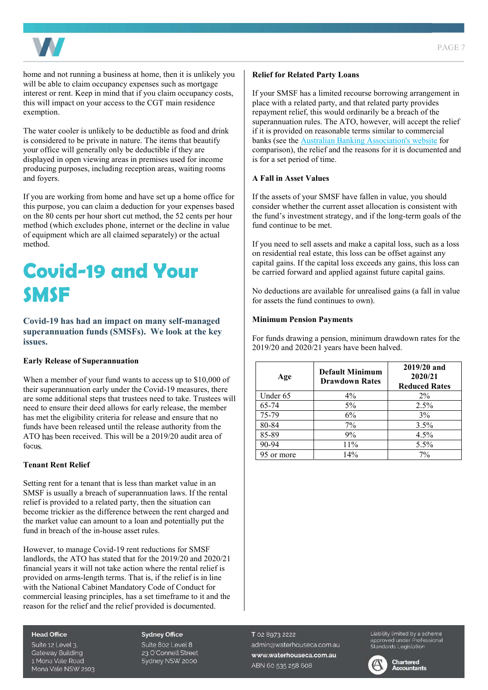

home and not running a business at home, then it is unlikely you will be able to claim occupancy expenses such as mortgage interest or rent. Keep in mind that if you claim occupancy costs, this will impact on your access to the CGT main residence exemption.

The water cooler is unlikely to be deductible as food and drink is considered to be private in nature. The items that beautify your office will generally only be deductible if they are displayed in open viewing areas in premises used for income producing purposes, including reception areas, waiting rooms and foyers.

If you are working from home and have set up a home office for this purpose, you can claim a deduction for your expenses based on the 80 cents per hour short cut method, the 52 cents per hour method (which excludes phone, internet or the decline in value of equipment which are all claimed separately) or the actual method.

### **Covid-19 and Your SMSF**

**Covid-19 has had an impact on many self-managed superannuation funds (SMSFs). We look at the key issues.** 

#### **Early Release of Superannuation**

When a member of your fund wants to access up to \$10,000 of their superannuation early under the Covid-19 measures, there are some additional steps that trustees need to take. Trustees will need to ensure their deed allows for early release, the member has met the eligibility criteria for release and ensure that no funds have been released until the release authority from the ATO has been received. This will be a 2019/20 audit area of focus.

#### **Tenant Rent Relief**

Setting rent for a tenant that is less than market value in an SMSF is usually a breach of superannuation laws. If the rental relief is provided to a related party, then the situation can become trickier as the difference between the rent charged and the market value can amount to a loan and potentially put the fund in breach of the in-house asset rules.

However, to manage Covid-19 rent reductions for SMSF landlords, the ATO has stated that for the 2019/20 and 2020/21 financial years it will not take action where the rental relief is provided on arms-length terms. That is, if the relief is in line with the National Cabinet Mandatory Code of Conduct for commercial leasing principles, has a set timeframe to it and the reason for the relief and the relief provided is documented.

#### **Relief for Related Party Loans**

If your SMSF has a limited recourse borrowing arrangement in place with a related party, and that related party provides repayment relief, this would ordinarily be a breach of the superannuation rules. The ATO, however, will accept the relief if it is provided on reasonable terms similar to commercial banks (see th[e Australian Banking Association's website f](https://www.ausbanking.org.au/banks-enter-phase-two-on-covid-19-deferred-loans/)or comparison), the relief and the reasons for it is documented and is for a set period of time.

#### **A Fall in Asset Values**

If the assets of your SMSF have fallen in value, you should consider whether the current asset allocation is consistent with the fund's investment strategy, and if the long-term goals of the fund continue to be met.

If you need to sell assets and make a capital loss, such as a loss on residential real estate, this loss can be offset against any capital gains. If the capital loss exceeds any gains, this loss can be carried forward and applied against future capital gains.

No deductions are available for unrealised gains (a fall in value for assets the fund continues to own).

#### **Minimum Pension Payments**

For funds drawing a pension, minimum drawdown rates for the  $2019/20$  and  $2020/21$  years have been halved.

| Age        | <b>Default Minimum</b><br><b>Drawdown Rates</b> | 2019/20 and<br>2020/21<br><b>Reduced Rates</b> |
|------------|-------------------------------------------------|------------------------------------------------|
| Under 65   | $4\%$                                           | $2\%$                                          |
| 65-74      | $5\%$                                           | 2.5%                                           |
| 75-79      | 6%                                              | 3%                                             |
| 80-84      | 7%                                              | 3.5%                                           |
| 85-89      | 9%                                              | 4.5%                                           |
| 90-94      | 11%                                             | 5.5%                                           |
| 95 or more | 14%                                             | $7\%$                                          |

#### **Head Office**

Suite 12 Level 3. **Gateway Building** 1 Mona Vale Road Mona Vale NSW 2103

#### **Sydney Office**

Suite 802 Level 8 23 O'Connell Street Sydney NSW 2000 T 02 8973 2222 admin@waterhouseca.com.au www.waterhouseca.com.au ABN 60 535 258 608

Liability limited by a scheme approved under Professional<br>Standards Legislation



#### **Chartered Accountants**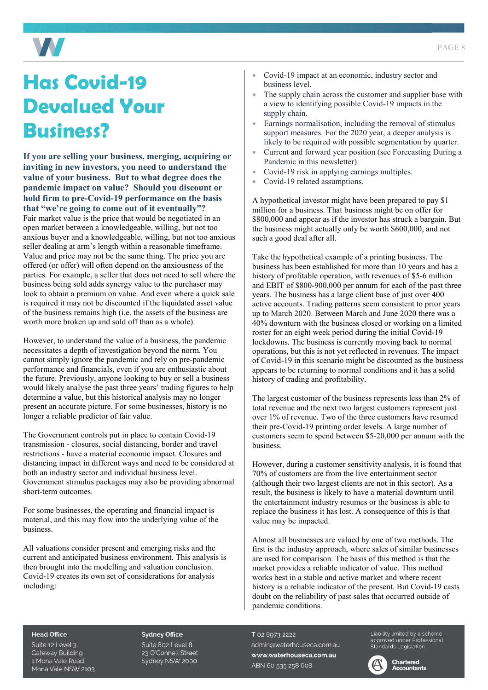

### **Has Covid-19 Devalued Your Business?**

#### **If you are selling your business, merging, acquiring or inviting in new investors, you need to understand the value of your business. But to what degree does the pandemic impact on value? Should you discount or hold firm to pre-Covid-19 performance on the basis that "we're going to come out of it eventually"?**

Fair market value is the price that would be negotiated in an open market between a knowledgeable, willing, but not too anxious buyer and a knowledgeable, willing, but not too anxious seller dealing at arm's length within a reasonable timeframe. Value and price may not be the same thing. The price you are offered (or offer) will often depend on the anxiousness of the parties. For example, a seller that does not need to sell where the business being sold adds synergy value to the purchaser may look to obtain a premium on value. And even where a quick sale is required it may not be discounted if the liquidated asset value of the business remains high (i.e. the assets of the business are worth more broken up and sold off than as a whole).

However, to understand the value of a business, the pandemic necessitates a depth of investigation beyond the norm. You cannot simply ignore the pandemic and rely on pre-pandemic performance and financials, even if you are enthusiastic about the future. Previously, anyone looking to buy or sell a business would likely analyse the past three years' trading figures to help determine a value, but this historical analysis may no longer present an accurate picture. For some businesses, history is no longer a reliable predictor of fair value.

The Government controls put in place to contain Covid-19 transmission - closures, social distancing, border and travel restrictions - have a material economic impact. Closures and distancing impact in different ways and need to be considered at both an industry sector and individual business level. Government stimulus packages may also be providing abnormal short-term outcomes.

For some businesses, the operating and financial impact is material, and this may flow into the underlying value of the business.

All valuations consider present and emerging risks and the current and anticipated business environment. This analysis is then brought into the modelling and valuation conclusion. Covid-19 creates its own set of considerations for analysis including:

- Covid-19 impact at an economic, industry sector and business level.
- The supply chain across the customer and supplier base with a view to identifying possible Covid-19 impacts in the supply chain.
- Earnings normalisation, including the removal of stimulus support measures. For the 2020 year, a deeper analysis is likely to be required with possible segmentation by quarter.
- Current and forward year position (see Forecasting During a Pandemic in this newsletter).
- Covid-19 risk in applying earnings multiples.
- Covid-19 related assumptions.

A hypothetical investor might have been prepared to pay \$1 million for a business. That business might be on offer for \$800,000 and appear as if the investor has struck a bargain. But the business might actually only be worth \$600,000, and not such a good deal after all.

Take the hypothetical example of a printing business. The business has been established for more than 10 years and has a history of profitable operation, with revenues of \$5-6 million and EBIT of \$800-900,000 per annum for each of the past three years. The business has a large client base of just over 400 active accounts. Trading patterns seem consistent to prior years up to March 2020. Between March and June 2020 there was a 40% downturn with the business closed or working on a limited roster for an eight week period during the initial Covid-19 lockdowns. The business is currently moving back to normal operations, but this is not yet reflected in revenues. The impact of Covid-19 in this scenario might be discounted as the business appears to be returning to normal conditions and it has a solid history of trading and profitability.

The largest customer of the business represents less than 2% of total revenue and the next two largest customers represent just over 1% of revenue. Two of the three customers have resumed their pre-Covid-19 printing order levels. A large number of customers seem to spend between \$5-20,000 per annum with the business.

However, during a customer sensitivity analysis, it is found that 70% of customers are from the live entertainment sector (although their two largest clients are not in this sector). As a result, the business is likely to have a material downturn until the entertainment industry resumes or the business is able to replace the business it has lost. A consequence of this is that value may be impacted.

Almost all businesses are valued by one of two methods. The first is the industry approach, where sales of similar businesses are used for comparison. The basis of this method is that the market provides a reliable indicator of value. This method works best in a stable and active market and where recent history is a reliable indicator of the present. But Covid-19 casts doubt on the reliability of past sales that occurred outside of pandemic conditions.

#### **Head Office**

Suite 12 Level 3. **Gateway Building** 1 Mona Vale Road Mona Vale NSW 2103

#### **Sydney Office**

Suite 802 Level 8 23 O'Connell Street Sydney NSW 2000 T 02 8973 2222 admin@waterhouseca.com.au www.waterhouseca.com.au ABN 60 535 258 608

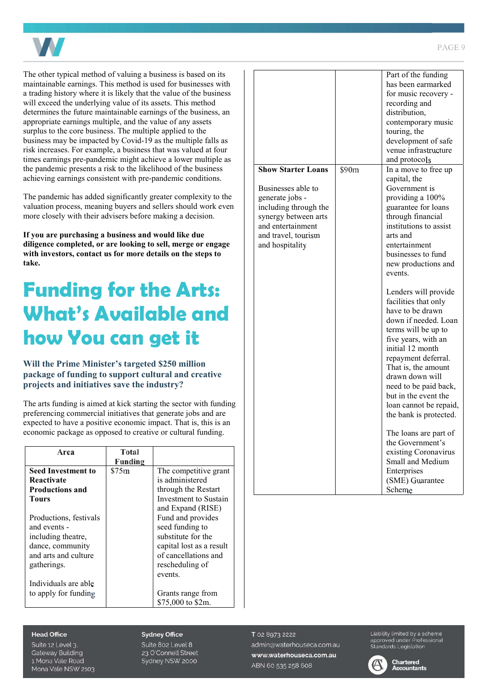

The other typical method of valuing a business is based on its maintainable earnings. This method is used for businesses with a trading history where it is likely that the value of the business will exceed the underlying value of its assets. This method determines the future maintainable earnings of the business, an appropriate earnings multiple, and the value of any assets surplus to the core business. The multiple applied to the business may be impacted by Covid-19 as the multiple falls as risk increases. For example, a business that was valued at four times earnings pre-pandemic might achieve a lower multiple as the pandemic presents a risk to the likelihood of the business achieving earnings consistent with pre-pandemic conditions.

The pandemic has added significantly greater complexity to the valuation process, meaning buyers and sellers should work even more closely with their advisers before making a decision.

**If you are purchasing a business and would like due diligence completed, or are looking to sell, merge or engage with investors, contact us for more details on the steps to take.**

### **Funding for the Arts: What's Available and how You can get it**

#### **Will the Prime Minister's targeted \$250 million package of funding to support cultural and creative projects and initiatives save the industry?**

The arts funding is aimed at kick starting the sector with funding preferencing commercial initiatives that generate jobs and are expected to have a positive economic impact. That is, this is an economic package as opposed to creative or cultural funding.

| Area                      | Total   |                          |
|---------------------------|---------|--------------------------|
|                           | Funding |                          |
| <b>Seed Investment to</b> | \$75m   | The competitive grant    |
| Reactivate                |         | is administered          |
| <b>Productions and</b>    |         | through the Restart      |
| Tours                     |         | Investment to Sustain    |
|                           |         | and Expand (RISE)        |
| Productions, festivals    |         | Fund and provides        |
| and events -              |         | seed funding to          |
| including theatre,        |         | substitute for the       |
| dance, community          |         | capital lost as a result |
| and arts and culture      |         | of cancellations and     |
| gatherings.               |         | rescheduling of          |
|                           |         | events.                  |
| Individuals are able      |         |                          |
| to apply for funding      |         | Grants range from        |
|                           |         | \$75,000 to \$2m.        |

|                           |       | Part of the funding    |
|---------------------------|-------|------------------------|
|                           |       | has been earmarked     |
|                           |       | for music recovery -   |
|                           |       | recording and          |
|                           |       | distribution,          |
|                           |       | contemporary music     |
|                           |       | touring, the           |
|                           |       | development of safe    |
|                           |       | venue infrastructure   |
|                           |       | and protocols          |
| <b>Show Starter Loans</b> | \$90m | In a move to free up   |
|                           |       | capital, the           |
| Businesses able to        |       | Government is          |
| generate jobs -           |       | providing a 100%       |
| including through the     |       | guarantee for loans    |
| synergy between arts      |       | through financial      |
| and entertainment         |       | institutions to assist |
| and travel, tourism       |       | arts and               |
| and hospitality           |       | entertainment          |
|                           |       | businesses to fund     |
|                           |       | new productions and    |
|                           |       | events.                |
|                           |       |                        |
|                           |       | Lenders will provide   |
|                           |       | facilities that only   |
|                           |       | have to be drawn       |
|                           |       | down if needed. Loan   |
|                           |       | terms will be up to    |
|                           |       | five years, with an    |
|                           |       | initial 12 month       |
|                           |       | repayment deferral.    |
|                           |       | That is, the amount    |
|                           |       | drawn down will        |
|                           |       | need to be paid back,  |
|                           |       | but in the event the   |
|                           |       | loan cannot be repaid, |
|                           |       | the bank is protected. |
|                           |       |                        |
|                           |       | The loans are part of  |
|                           |       | the Government's       |
|                           |       | existing Coronavirus   |
|                           |       | Small and Medium       |
|                           |       |                        |
|                           |       | Enterprises            |
|                           |       | (SME) Guarantee        |

#### $PAGFQ$

#### **Head Office**

Suite 12 Level 3. **Gateway Building** 1 Mona Vale Road Mona Vale NSW 2103

#### **Sydney Office**

Suite 802 Level 8 23 O'Connell Street Sydney NSW 2000

T 02 8973 2222 admin@waterhouseca.com.au www.waterhouseca.com.au ABN 60 535 258 608

Liability limited by a scheme approved under Professional<br>Standards Legislation

Scheme



**Chartered Accountants**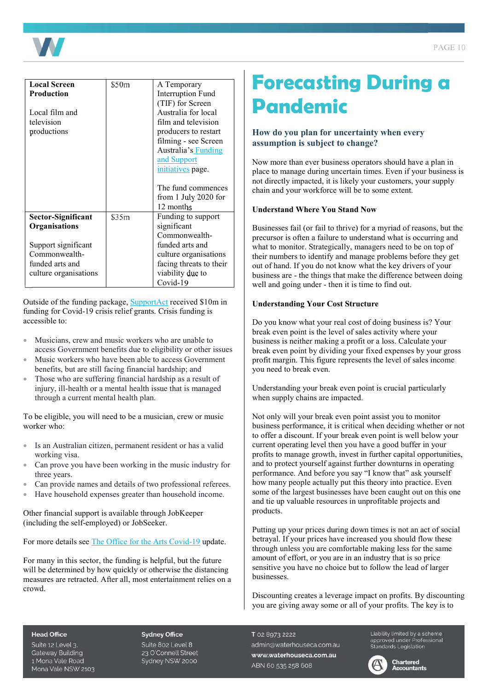

| <b>Local Screen</b>   | \$50m | A Temporary              |
|-----------------------|-------|--------------------------|
| <b>Production</b>     |       | <b>Interruption Fund</b> |
|                       |       | (TIF) for Screen         |
| Local film and        |       | Australia for local      |
| television            |       | film and television      |
| productions           |       | producers to restart     |
|                       |       | filming - see Screen     |
|                       |       | Australia's Funding      |
|                       |       | and Support              |
|                       |       | initiatives page.        |
|                       |       |                          |
|                       |       | The fund commences       |
|                       |       | from 1 July 2020 for     |
|                       |       | 12 months                |
| Sector-Significant    | \$35m | Funding to support       |
| Organisations         |       | significant              |
|                       |       | Commonwealth-            |
| Support significant   |       | funded arts and          |
| Commonwealth-         |       | culture organisations    |
| funded arts and       |       | facing threats to their  |
| culture organisations |       | viability due to         |
|                       |       | Covid-19                 |

Outside of the funding package, [SupportAct](https://supportact.org.au/get-help-2/) received \$10m in funding for Covid-19 crisis relief grants. Crisis funding is accessible to:

- Musicians, crew and music workers who are unable to access Government benefits due to eligibility or other issues
- Music workers who have been able to access Government benefits, but are still facing financial hardship; and
- Those who are suffering financial hardship as a result of injury, ill-health or a mental health issue that is managed through a current mental health plan.

To be eligible, you will need to be a musician, crew or music worker who:

- Is an Australian citizen, permanent resident or has a valid working visa.
- Can prove you have been working in the music industry for three years.
- Can provide names and details of two professional referees.
- Have household expenses greater than household income.

Other financial support is available through JobKeeper (including the self-employed) or JobSeeker.

For more details see [The Office for the Arts Covid-19](https://www.arts.gov.au/covid-19-update) update.

For many in this sector, the funding is helpful, but the future will be determined by how quickly or otherwise the distancing measures are retracted. After all, most entertainment relies on a crowd.

### **Forecasting During a Pandemic**

#### **How do you plan for uncertainty when every assumption is subject to change?**

Now more than ever business operators should have a plan in place to manage during uncertain times. Even if your business is not directly impacted, it is likely your customers, your supply chain and your workforce will be to some extent.

#### **Understand Where You Stand Now**

Businesses fail (or fail to thrive) for a myriad of reasons, but the precursor is often a failure to understand what is occurring and what to monitor. Strategically, managers need to be on top of their numbers to identify and manage problems before they get out of hand. If you do not know what the key drivers of your business are - the things that make the difference between doing well and going under - then it is time to find out.

#### **Understanding Your Cost Structure**

Do you know what your real cost of doing business is? Your break even point is the level of sales activity where your business is neither making a profit or a loss. Calculate your break even point by dividing your fixed expenses by your gross profit margin. This figure represents the level of sales income you need to break even.

Understanding your break even point is crucial particularly when supply chains are impacted.

Not only will your break even point assist you to monitor business performance, it is critical when deciding whether or not to offer a discount. If your break even point is well below your current operating level then you have a good buffer in your profits to manage growth, invest in further capital opportunities, and to protect yourself against further downturns in operating performance. And before you say "I know that" ask yourself how many people actually put this theory into practice. Even some of the largest businesses have been caught out on this one and tie up valuable resources in unprofitable projects and products.

Putting up your prices during down times is not an act of social betrayal. If your prices have increased you should flow these through unless you are comfortable making less for the same amount of effort, or you are in an industry that is so price sensitive you have no choice but to follow the lead of larger businesses.

Discounting creates a leverage impact on profits. By discounting you are giving away some or all of your profits. The key is to

#### **Head Office**

Suite 12 Level 3. **Gateway Building** 1 Mona Vale Road Mona Vale NSW 2103

#### **Sydney Office**

Suite 802 Level 8 23 O'Connell Street Sydney NSW 2000 T 02 8973 2222 admin@waterhouseca.com.au www.waterhouseca.com.au ABN 60 535 258 608

Liability limited by a scheme Elebrity immedibly a scrieme<br>approved under Professional<br>Standards Legislation

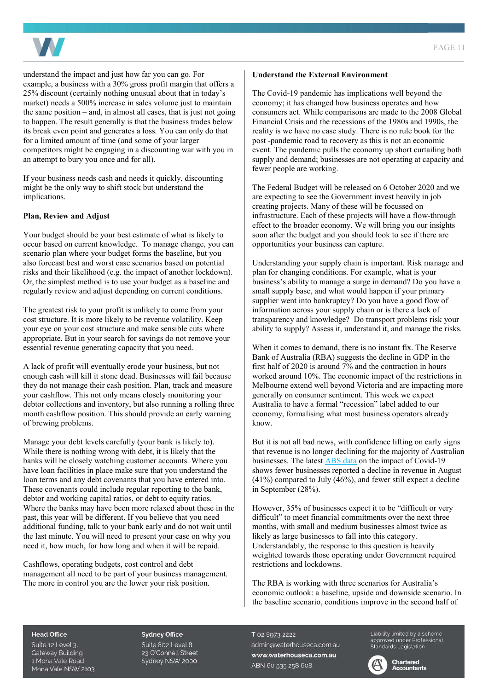

understand the impact and just how far you can go. For example, a business with a 30% gross profit margin that offers a 25% discount (certainly nothing unusual about that in today's market) needs a 500% increase in sales volume just to maintain the same position  $-$  and, in almost all cases, that is just not going to happen. The result generally is that the business trades below its break even point and generates a loss. You can only do that for a limited amount of time (and some of your larger competitors might be engaging in a discounting war with you in an attempt to bury you once and for all).

If your business needs cash and needs it quickly, discounting might be the only way to shift stock but understand the implications.

#### **Plan, Review and Adjust**

Your budget should be your best estimate of what is likely to occur based on current knowledge. To manage change, you can scenario plan where your budget forms the baseline, but you also forecast best and worst case scenarios based on potential risks and their likelihood (e.g. the impact of another lockdown). Or, the simplest method is to use your budget as a baseline and regularly review and adjust depending on current conditions.

The greatest risk to your profit is unlikely to come from your cost structure. It is more likely to be revenue volatility. Keep your eye on your cost structure and make sensible cuts where appropriate. But in your search for savings do not remove your essential revenue generating capacity that you need.

A lack of profit will eventually erode your business, but not enough cash will kill it stone dead. Businesses will fail because they do not manage their cash position. Plan, track and measure your cashflow. This not only means closely monitoring your debtor collections and inventory, but also running a rolling three month cashflow position. This should provide an early warning of brewing problems.

Manage your debt levels carefully (your bank is likely to). While there is nothing wrong with debt, it is likely that the banks will be closely watching customer accounts. Where you have loan facilities in place make sure that you understand the loan terms and any debt covenants that you have entered into. These covenants could include regular reporting to the bank, debtor and working capital ratios, or debt to equity ratios. Where the banks may have been more relaxed about these in the past, this year will be different. If you believe that you need additional funding, talk to your bank early and do not wait until the last minute. You will need to present your case on why you need it, how much, for how long and when it will be repaid.

Cashflows, operating budgets, cost control and debt management all need to be part of your business management. The more in control you are the lower your risk position.

#### **Understand the External Environment**

The Covid-19 pandemic has implications well beyond the economy; it has changed how business operates and how consumers act. While comparisons are made to the 2008 Global Financial Crisis and the recessions of the 1980s and 1990s, the reality is we have no case study. There is no rule book for the post -pandemic road to recovery as this is not an economic event. The pandemic pulls the economy up short curtailing both supply and demand; businesses are not operating at capacity and fewer people are working.

The Federal Budget will be released on 6 October 2020 and we are expecting to see the Government invest heavily in job creating projects. Many of these will be focussed on infrastructure. Each of these projects will have a flow-through effect to the broader economy. We will bring you our insights soon after the budget and you should look to see if there are opportunities your business can capture.

Understanding your supply chain is important. Risk manage and plan for changing conditions. For example, what is your business's ability to manage a surge in demand? Do you have a small supply base, and what would happen if your primary supplier went into bankruptcy? Do you have a good flow of information across your supply chain or is there a lack of transparency and knowledge? Do transport problems risk your ability to supply? Assess it, understand it, and manage the risks.

When it comes to demand, there is no instant fix. The Reserve Bank of Australia (RBA) suggests the decline in GDP in the first half of 2020 is around 7% and the contraction in hours worked around 10%. The economic impact of the restrictions in Melbourne extend well beyond Victoria and are impacting more generally on consumer sentiment. This week we expect Australia to have a formal "recession" label added to our economy, formalising what most business operators already know.

But it is not all bad news, with confidence lifting on early signs that revenue is no longer declining for the majority of Australian businesses. The latest **ABS** data on the impact of Covid-19 shows fewer businesses reported a decline in revenue in August (41%) compared to July (46%), and fewer still expect a decline in September (28%).

However, 35% of businesses expect it to be "difficult or very difficult" to meet financial commitments over the next three months, with small and medium businesses almost twice as likely as large businesses to fall into this category. Understandably, the response to this question is heavily weighted towards those operating under Government required restrictions and lockdowns.

The RBA is working with three scenarios for Australia's economic outlook: a baseline, upside and downside scenario. In the baseline scenario, conditions improve in the second half of

#### **Head Office**

Suite 12 Level 3. **Gateway Building** 1 Mona Vale Road Mona Vale NSW 2103

#### **Sydney Office**

Suite 802 Level 8 23 O'Connell Street Sydney NSW 2000 T 02 8973 2222 admin@waterhouseca.com.au www.waterhouseca.com.au ABN 60 535 258 608